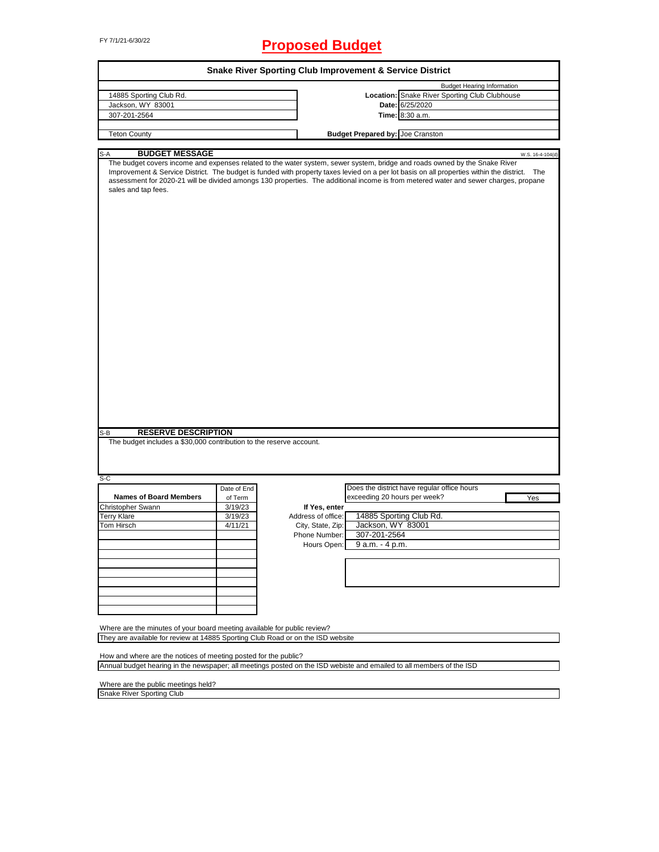## FY 7/1/21-6/30/22 **Proposed Budget**

| 14885 Sporting Club Rd.                                                                                                                                     |             |                    | <b>Budget Hearing Information</b>                                                                                                                                                                                                                                                                                                                                                                                   |
|-------------------------------------------------------------------------------------------------------------------------------------------------------------|-------------|--------------------|---------------------------------------------------------------------------------------------------------------------------------------------------------------------------------------------------------------------------------------------------------------------------------------------------------------------------------------------------------------------------------------------------------------------|
|                                                                                                                                                             |             |                    | Location: Snake River Sporting Club Clubhouse                                                                                                                                                                                                                                                                                                                                                                       |
| Jackson, WY 83001                                                                                                                                           |             |                    | Date: 6/25/2020                                                                                                                                                                                                                                                                                                                                                                                                     |
| 307-201-2564                                                                                                                                                |             |                    | Time: 8:30 a.m.                                                                                                                                                                                                                                                                                                                                                                                                     |
|                                                                                                                                                             |             |                    |                                                                                                                                                                                                                                                                                                                                                                                                                     |
| <b>Teton County</b>                                                                                                                                         |             |                    | <b>Budget Prepared by: Joe Cranston</b>                                                                                                                                                                                                                                                                                                                                                                             |
| <b>BUDGET MESSAGE</b><br>$S-A$                                                                                                                              |             |                    | W.S. 16-4-104(d)                                                                                                                                                                                                                                                                                                                                                                                                    |
| sales and tap fees.                                                                                                                                         |             |                    | The budget covers income and expenses related to the water system, sewer system, bridge and roads owned by the Snake River<br>Improvement & Service District. The budget is funded with property taxes levied on a per lot basis on all properties within the district. The<br>assessment for 2020-21 will be divided amongs 130 properties. The additional income is from metered water and sewer charges, propane |
|                                                                                                                                                             |             |                    |                                                                                                                                                                                                                                                                                                                                                                                                                     |
|                                                                                                                                                             |             |                    |                                                                                                                                                                                                                                                                                                                                                                                                                     |
|                                                                                                                                                             |             |                    |                                                                                                                                                                                                                                                                                                                                                                                                                     |
|                                                                                                                                                             |             |                    |                                                                                                                                                                                                                                                                                                                                                                                                                     |
|                                                                                                                                                             |             |                    |                                                                                                                                                                                                                                                                                                                                                                                                                     |
|                                                                                                                                                             |             |                    |                                                                                                                                                                                                                                                                                                                                                                                                                     |
|                                                                                                                                                             |             |                    |                                                                                                                                                                                                                                                                                                                                                                                                                     |
| <b>RESERVE DESCRIPTION</b><br>The budget includes a \$30,000 contribution to the reserve account.                                                           |             |                    |                                                                                                                                                                                                                                                                                                                                                                                                                     |
|                                                                                                                                                             |             |                    |                                                                                                                                                                                                                                                                                                                                                                                                                     |
|                                                                                                                                                             | Date of End |                    | Does the district have regular office hours                                                                                                                                                                                                                                                                                                                                                                         |
| <b>Names of Board Members</b>                                                                                                                               | of Term     |                    | exceeding 20 hours per week?<br>Yes                                                                                                                                                                                                                                                                                                                                                                                 |
|                                                                                                                                                             | 3/19/23     | If Yes, enter      |                                                                                                                                                                                                                                                                                                                                                                                                                     |
|                                                                                                                                                             | 3/19/23     | Address of office: | 14885 Sporting Club Rd.                                                                                                                                                                                                                                                                                                                                                                                             |
|                                                                                                                                                             | 4/11/21     | City, State, Zip:  | Jackson, WY 83001                                                                                                                                                                                                                                                                                                                                                                                                   |
|                                                                                                                                                             |             | Phone Number:      | 307-201-2564                                                                                                                                                                                                                                                                                                                                                                                                        |
|                                                                                                                                                             |             |                    | Hours Open: 9 a.m. - 4 p.m.                                                                                                                                                                                                                                                                                                                                                                                         |
|                                                                                                                                                             |             |                    |                                                                                                                                                                                                                                                                                                                                                                                                                     |
|                                                                                                                                                             |             |                    |                                                                                                                                                                                                                                                                                                                                                                                                                     |
|                                                                                                                                                             |             |                    |                                                                                                                                                                                                                                                                                                                                                                                                                     |
| S-B<br>S-C<br>Christopher Swann<br><b>Terry Klare</b><br>Tom Hirsch                                                                                         |             |                    |                                                                                                                                                                                                                                                                                                                                                                                                                     |
|                                                                                                                                                             |             |                    |                                                                                                                                                                                                                                                                                                                                                                                                                     |
| Where are the minutes of your board meeting available for public review?<br>They are available for review at 14885 Sporting Club Road or on the ISD website |             |                    |                                                                                                                                                                                                                                                                                                                                                                                                                     |
| How and where are the notices of meeting posted for the public?                                                                                             |             |                    |                                                                                                                                                                                                                                                                                                                                                                                                                     |

 $\overline{\phantom{0}}$ 

Snake River Sporting Club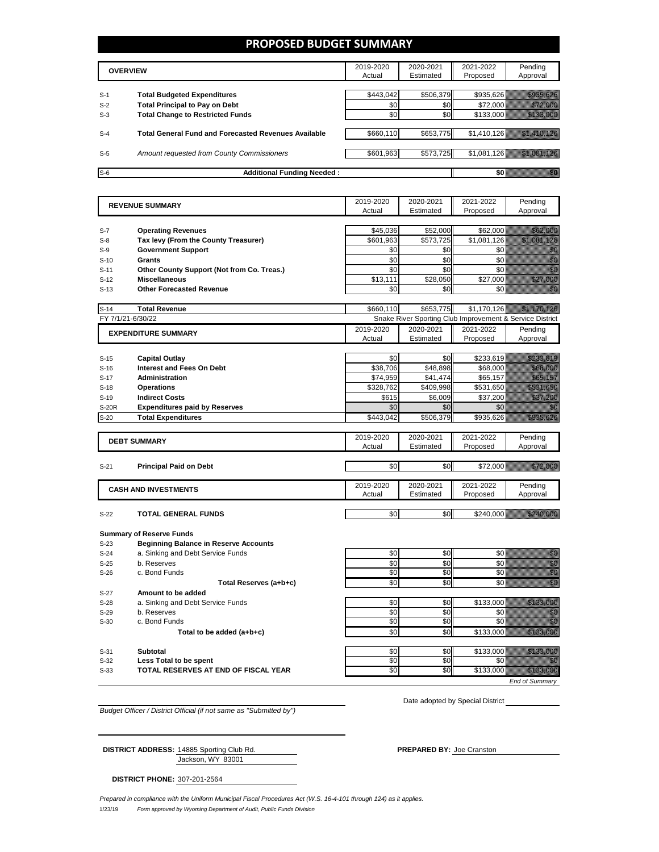#### **PROPOSED BUDGET SUMMARY**

|       | <b>OVERVIEW</b>                                             |           | 2020-2021<br>Estimated | 2021-2022<br>Proposed | Pending<br>Approval |
|-------|-------------------------------------------------------------|-----------|------------------------|-----------------------|---------------------|
| $S-1$ | <b>Total Budgeted Expenditures</b>                          | \$443.042 | \$506.379              | \$935.626             |                     |
| $S-2$ | <b>Total Principal to Pay on Debt</b>                       | \$0       | \$0                    | \$72,000              |                     |
| $S-3$ | <b>Total Change to Restricted Funds</b>                     | \$0       | \$0                    | \$133,000             |                     |
|       |                                                             |           |                        |                       |                     |
| $S-4$ | <b>Total General Fund and Forecasted Revenues Available</b> | \$660,110 | \$653,775              | \$1,410,126           |                     |
| $S-5$ | Amount requested from County Commissioners                  | \$601,963 | \$573,725              | \$1.081.126           |                     |
| $S-6$ | <b>Additional Funding Needed:</b>                           |           |                        | 50 ا                  |                     |

|              | <b>REVENUE SUMMARY</b>                       | 2019-2020<br>Actual   | 2020-2021 | 2021-2022                                                | Pending                                                                                                                                                                                                                          |
|--------------|----------------------------------------------|-----------------------|-----------|----------------------------------------------------------|----------------------------------------------------------------------------------------------------------------------------------------------------------------------------------------------------------------------------------|
|              |                                              |                       | Estimated | Proposed                                                 | Approval                                                                                                                                                                                                                         |
|              |                                              |                       |           |                                                          |                                                                                                                                                                                                                                  |
| $S-7$        | <b>Operating Revenues</b>                    | \$45,036<br>\$601.963 | \$52,000  | \$62,000                                                 | <u> Hillisoon</u>                                                                                                                                                                                                                |
| $S-8$        | Tax levy (From the County Treasurer)         |                       | \$573,725 | \$1,081,126                                              | <u> Hillisoon alle k</u>                                                                                                                                                                                                         |
| $S-9$        | <b>Government Support</b>                    | \$0                   | \$0       | \$0                                                      | en de la familie de la familie de la familie de la familie de la familie de la familie de la familie de la fam<br>Establece de la familie de la familie de la familie de la familie de la familie de la familie de la familie de |
| $S-10$       | <b>Grants</b>                                | \$0                   | \$0       | \$0                                                      | en de la familie de la familie de la familie de la familie de la familie de la familie de la familie de la fam<br>Constituit de la familie de la familie de la familie de la familie de la familie de la familie de la familie d |
| $S-11$       | Other County Support (Not from Co. Treas.)   | \$0                   | \$0       | \$0                                                      | en de la familie de la familie de la familie de la familie de la familie de la familie de la familie de la fam<br>Estatubat de la familie de la familie de la familie de la familie de la familie de la familie de la familie de |
| $S-12$       | <b>Miscellaneous</b>                         | \$13,111              | \$28,050  | \$27.000                                                 | <u>Millions</u>                                                                                                                                                                                                                  |
| $S-13$       | <b>Other Forecasted Revenue</b>              | \$0                   | \$0       | \$0                                                      | ni dhe                                                                                                                                                                                                                           |
| $S-14$       | <b>Total Revenue</b>                         | \$660,110             | \$653.775 | \$1.170.126                                              | <u> The Miller Charles Co</u>                                                                                                                                                                                                    |
|              | FY 7/1/21-6/30/22                            |                       |           | Snake River Sporting Club Improvement & Service District |                                                                                                                                                                                                                                  |
|              | <b>EXPENDITURE SUMMARY</b>                   | 2019-2020             | 2020-2021 | 2021-2022                                                | Pending                                                                                                                                                                                                                          |
|              |                                              | Actual                | Estimated | Proposed                                                 | Approval                                                                                                                                                                                                                         |
|              |                                              |                       |           |                                                          |                                                                                                                                                                                                                                  |
| $S-15$       | <b>Capital Outlay</b>                        | \$0                   | \$0       | \$233,619                                                | <u>saasaasaas</u>                                                                                                                                                                                                                |
| $S-16$       | <b>Interest and Fees On Debt</b>             | \$38,706              | \$48,898  | \$68,000                                                 | <u> Kalendari Sa</u>                                                                                                                                                                                                             |
| $S-17$       | <b>Administration</b>                        | \$74,959              | \$41,474  | \$65,157                                                 |                                                                                                                                                                                                                                  |
| $S-18$       | <b>Operations</b>                            | \$328,762             | \$409,998 | \$531,650                                                | <u> Hillian San</u>                                                                                                                                                                                                              |
| $S-19$       | <b>Indirect Costs</b>                        | \$615                 | \$6,009   | \$37,200                                                 | <u> Hillingsson</u>                                                                                                                                                                                                              |
| <b>S-20R</b> | <b>Expenditures paid by Reserves</b>         | \$0                   | \$0       | \$0                                                      | ni dhe                                                                                                                                                                                                                           |
| $S-20$       | <b>Total Expenditures</b>                    | \$443,042             | \$506,379 | \$935,626                                                | <u> Billian Sa</u>                                                                                                                                                                                                               |
|              |                                              | 2019-2020             | 2020-2021 | 2021-2022                                                | Pending                                                                                                                                                                                                                          |
|              | <b>DEBT SUMMARY</b>                          | Actual                | Estimated | Proposed                                                 | Approval                                                                                                                                                                                                                         |
|              |                                              |                       |           |                                                          |                                                                                                                                                                                                                                  |
| $S-21$       | <b>Principal Paid on Debt</b>                | \$0                   | \$0       | \$72,000                                                 | <u>illitti kossa</u>                                                                                                                                                                                                             |
|              |                                              |                       |           |                                                          |                                                                                                                                                                                                                                  |
|              | <b>CASH AND INVESTMENTS</b>                  | 2019-2020             | 2020-2021 | 2021-2022                                                | Pending                                                                                                                                                                                                                          |
|              |                                              | Actual                | Estimated | Proposed                                                 | Approval                                                                                                                                                                                                                         |
|              |                                              | \$0                   | \$0       |                                                          | <u> Hillingan Sa</u>                                                                                                                                                                                                             |
| $S-22$       | <b>TOTAL GENERAL FUNDS</b>                   |                       |           | \$240,000                                                |                                                                                                                                                                                                                                  |
|              | <b>Summary of Reserve Funds</b>              |                       |           |                                                          |                                                                                                                                                                                                                                  |
| $S-23$       | <b>Beginning Balance in Reserve Accounts</b> |                       |           |                                                          |                                                                                                                                                                                                                                  |
| $S-24$       | a. Sinking and Debt Service Funds            | \$0                   | \$0       | \$0                                                      | an dhe                                                                                                                                                                                                                           |
| $S-25$       | b. Reserves                                  | \$0                   | \$0       | \$0                                                      | en film<br>Maria de Santo Constantino (1980)<br>Maria de Santo Constantino (1980)                                                                                                                                                |
| $S-26$       | c. Bond Funds                                | \$0                   | \$0       | \$0                                                      | en en de la familie de la familie de la familie de la familie de la familie de la familie de la familie de la<br>Constitution de la familie de la familie de la familie de la familie de la familie de la familie de la familie  |
|              | Total Reserves (a+b+c)                       | \$0                   | \$0       | \$0                                                      | e ann.<br>Clian                                                                                                                                                                                                                  |
| $S-27$       | Amount to be added                           |                       |           |                                                          |                                                                                                                                                                                                                                  |
| $S-28$       | a. Sinking and Debt Service Funds            | \$0                   | \$0       | \$133,000                                                | <u> Hillian Sa</u>                                                                                                                                                                                                               |
| $S-29$       | b. Reserves                                  | \$0                   | \$0       | \$0                                                      | en de la familie de la familie de la familie de la familie de la familie de la familie de la familie de la fam<br>De la familie de la familie de la familie de la familie de la familie de la familie de la familie de la famili |
| $S-30$       | c. Bond Funds                                | \$0                   | \$0       | \$0                                                      | en de la familie de la familie de la familie de la familie de la familie de la familie de la familie de la fam<br>De la familie de la familie de la familie de la familie de la familie de la familie de la familie de la famili |
|              | Total to be added (a+b+c)                    | \$0                   | \$0       | \$133,000                                                | <u> Mille Mars</u>                                                                                                                                                                                                               |
|              |                                              |                       |           |                                                          |                                                                                                                                                                                                                                  |
|              |                                              |                       |           |                                                          |                                                                                                                                                                                                                                  |
| $S-31$       | <b>Subtotal</b>                              | \$0                   | \$0       | \$133,000                                                | <u> Hillian Sala</u>                                                                                                                                                                                                             |
| $S-32$       | Less Total to be spent                       | \$0                   | \$0       | \$0                                                      | 74                                                                                                                                                                                                                               |
| $S-33$       | TOTAL RESERVES AT END OF FISCAL YEAR         | \$0                   | SO        | \$133,000                                                | <u> Mille Maria Sa</u>                                                                                                                                                                                                           |

*Budget Officer / District Official (if not same as "Submitted by")*

Date adopted by Special District

Jackson, WY 83001 **DISTRICT ADDRESS:** 14885 Sporting Club Rd. **PREPARED BY:** Joe Cranston

**DISTRICT PHONE:** 307-201-2564

1/23/19 *Form approved by Wyoming Department of Audit, Public Funds Division Prepared in compliance with the Uniform Municipal Fiscal Procedures Act (W.S. 16-4-101 through 124) as it applies.*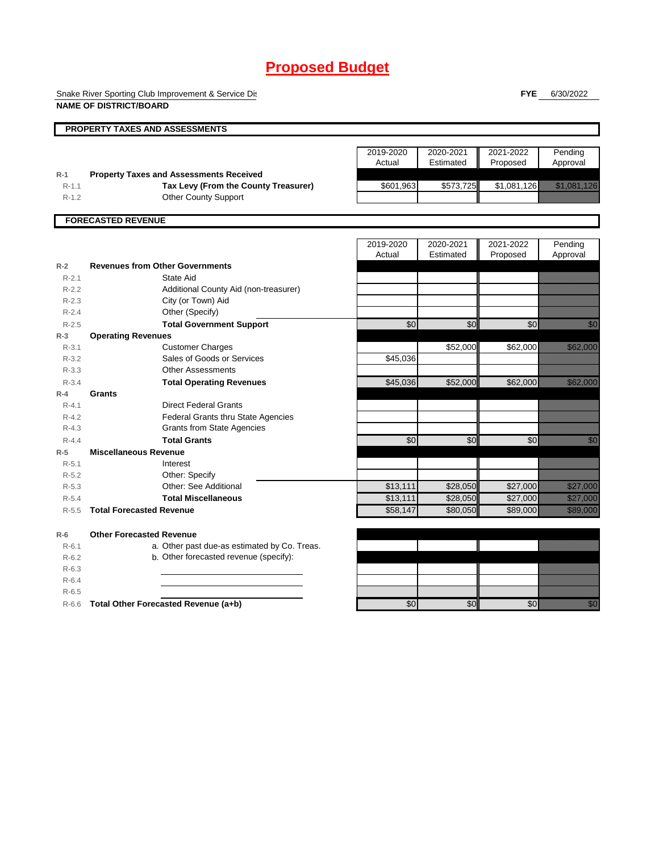Snake River Sporting Club Improvement & Service District **NAME OF DISTRICT/BOARD**

**FYE** 6/30/2022

|           | <b>PROPERTY TAXES AND ASSESSMENTS</b>          |           |           |             |                                                                                                                                                                                                                                  |
|-----------|------------------------------------------------|-----------|-----------|-------------|----------------------------------------------------------------------------------------------------------------------------------------------------------------------------------------------------------------------------------|
|           |                                                |           |           |             |                                                                                                                                                                                                                                  |
|           |                                                | 2019-2020 | 2020-2021 | 2021-2022   | Pending                                                                                                                                                                                                                          |
|           |                                                | Actual    | Estimated | Proposed    | Approval                                                                                                                                                                                                                         |
| $R-1$     | <b>Property Taxes and Assessments Received</b> |           |           |             |                                                                                                                                                                                                                                  |
| $R-1.1$   | Tax Levy (From the County Treasurer)           | \$601,963 | \$573,725 | \$1,081,126 | <u> Kalendari (K. 1989)</u>                                                                                                                                                                                                      |
| $R-1.2$   | <b>Other County Support</b>                    |           |           |             |                                                                                                                                                                                                                                  |
|           | <b>FORECASTED REVENUE</b>                      |           |           |             |                                                                                                                                                                                                                                  |
|           |                                                |           |           |             |                                                                                                                                                                                                                                  |
|           |                                                | 2019-2020 | 2020-2021 | 2021-2022   | Pending                                                                                                                                                                                                                          |
|           |                                                | Actual    | Estimated | Proposed    | Approval                                                                                                                                                                                                                         |
| $R-2$     | <b>Revenues from Other Governments</b>         |           |           |             |                                                                                                                                                                                                                                  |
| $R - 2.1$ | State Aid                                      |           |           |             |                                                                                                                                                                                                                                  |
| $R - 2.2$ | Additional County Aid (non-treasurer)          |           |           |             |                                                                                                                                                                                                                                  |
| $R - 2.3$ | City (or Town) Aid                             |           |           |             |                                                                                                                                                                                                                                  |
| $R - 2.4$ | Other (Specify)                                |           |           |             |                                                                                                                                                                                                                                  |
| $R - 2.5$ | <b>Total Government Support</b>                | \$0       | \$0       | \$0         | e de la facta de la facta de la facta de la facta de la facta de la facta de la facta de la facta de la facta<br>La facta de la facta de la facta de la facta de la facta de la facta de la facta de la facta de la facta de la  |
| $R-3$     | <b>Operating Revenues</b>                      |           |           |             |                                                                                                                                                                                                                                  |
| $R - 3.1$ | <b>Customer Charges</b>                        |           | \$52,000  | \$62,000    | <u> Killingan</u>                                                                                                                                                                                                                |
| $R - 3.2$ | Sales of Goods or Services                     | \$45,036  |           |             |                                                                                                                                                                                                                                  |
| $R - 3.3$ | <b>Other Assessments</b>                       |           |           |             |                                                                                                                                                                                                                                  |
| $R - 3.4$ | <b>Total Operating Revenues</b>                | \$45,036  | \$52,000  | \$62,000    | <u> Karl Barat da</u>                                                                                                                                                                                                            |
| $R-4$     | Grants                                         |           |           |             |                                                                                                                                                                                                                                  |
| $R - 4.1$ | <b>Direct Federal Grants</b>                   |           |           |             |                                                                                                                                                                                                                                  |
| $R - 4.2$ | Federal Grants thru State Agencies             |           |           |             |                                                                                                                                                                                                                                  |
| $R - 4.3$ | <b>Grants from State Agencies</b>              |           |           |             |                                                                                                                                                                                                                                  |
| $R - 4.4$ | <b>Total Grants</b>                            | \$0       | \$0       | \$0         | <u>i Kili</u>                                                                                                                                                                                                                    |
| $R-5$     | <b>Miscellaneous Revenue</b>                   |           |           |             |                                                                                                                                                                                                                                  |
| $R-5.1$   | Interest                                       |           |           |             |                                                                                                                                                                                                                                  |
| $R-5.2$   | Other: Specify                                 |           |           |             |                                                                                                                                                                                                                                  |
| $R - 5.3$ | Other: See Additional                          | \$13,111  | \$28,050  | \$27,000    | <u> Mariji Serge d</u>                                                                                                                                                                                                           |
| $R - 5.4$ | <b>Total Miscellaneous</b>                     | \$13,111  | \$28,050  | \$27,000    | <u>Hallistori</u>                                                                                                                                                                                                                |
| $R - 5.5$ | <b>Total Forecasted Revenue</b>                | \$58,147  | \$80,050  | \$89,000    | a katika katika katika katika alikuwa na katika alikuwa na katika alikuwa na katika alikuwa na katika alikuwa<br>Katika katika katika katika katika katika katika alikuwa na katika katika katika katika katika alikuwa na kati  |
|           |                                                |           |           |             |                                                                                                                                                                                                                                  |
| $R-6$     | <b>Other Forecasted Revenue</b>                |           |           |             |                                                                                                                                                                                                                                  |
| $R - 6.1$ | a. Other past due-as estimated by Co. Treas.   |           |           |             |                                                                                                                                                                                                                                  |
| $R-6.2$   | b. Other forecasted revenue (specify):         |           |           |             |                                                                                                                                                                                                                                  |
| $R - 6.3$ |                                                |           |           |             |                                                                                                                                                                                                                                  |
| $R - 6.4$ |                                                |           |           |             |                                                                                                                                                                                                                                  |
| $R-6.5$   |                                                |           |           |             |                                                                                                                                                                                                                                  |
| $R-6.6$   | Total Other Forecasted Revenue (a+b)           | \$0       | \$0       | \$0         | en de la familie de la familie de la familie de la familie de la familie de la familie de la familie de la fam<br>Constituit de la familie de la familie de la familie de la familie de la familie de la familie de la familie d |
|           |                                                |           |           |             |                                                                                                                                                                                                                                  |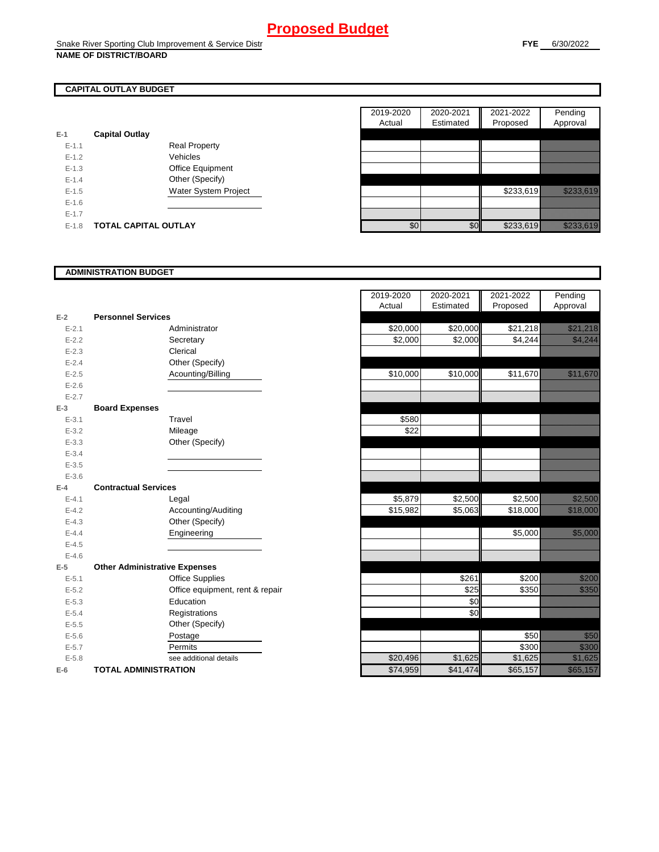#### **CAPITAL OUTLAY BUDGET**

| $E-1$     | <b>Capital Outlay</b> |                             |
|-----------|-----------------------|-----------------------------|
| $E - 1.1$ |                       | <b>Real Property</b>        |
| $F-12$    |                       | Vehicles                    |
| $F-1.3$   |                       | <b>Office Equipment</b>     |
| $F-14$    |                       | Other (Specify)             |
| $F-1.5$   |                       | <b>Water System Project</b> |
| $E - 1.6$ |                       |                             |
| $F-17$    |                       |                             |
| $F-1.8$   | TOTAL CAPITAL OUTLAY  |                             |

|           |                             |                      | 2019-2020 | 2020-2021        | 2021-2022 | Pending                                                                                                               |
|-----------|-----------------------------|----------------------|-----------|------------------|-----------|-----------------------------------------------------------------------------------------------------------------------|
|           |                             |                      | Actual    | Estimated        | Proposed  | Approval                                                                                                              |
|           | <b>Capital Outlay</b>       |                      |           |                  |           |                                                                                                                       |
| $E - 1.1$ |                             | <b>Real Property</b> |           |                  |           |                                                                                                                       |
| $E - 1.2$ |                             | Vehicles             |           |                  |           |                                                                                                                       |
| $E-1.3$   |                             | Office Equipment     |           |                  |           |                                                                                                                       |
| $E - 1.4$ |                             | Other (Specify)      |           |                  |           |                                                                                                                       |
| $E-1.5$   |                             | Water System Project |           |                  | \$233,619 | <u> Karl Charles (Charles Charles Charles Charles Charles Charles Charles Charles Charles Charles Charles Charles</u> |
| $E-1.6$   |                             |                      |           |                  |           |                                                                                                                       |
| $E - 1.7$ |                             |                      |           |                  |           |                                                                                                                       |
| $E-1.8$   | <b>TOTAL CAPITAL OUTLAY</b> |                      | \$0       | \$0 <sub>l</sub> | \$233,619 | <u> Karajevića po po</u>                                                                                              |

#### **ADMINISTRATION BUDGET**

|                       |                                 | Actual                                                                                                                          | Estimated |
|-----------------------|---------------------------------|---------------------------------------------------------------------------------------------------------------------------------|-----------|
|                       |                                 |                                                                                                                                 |           |
|                       | Administrator                   | \$20,000                                                                                                                        | \$20,000  |
|                       | Secretary                       | \$2,000                                                                                                                         | \$2,000   |
|                       | Clerical                        |                                                                                                                                 |           |
|                       | Other (Specify)                 |                                                                                                                                 |           |
|                       | Acounting/Billing               | \$10,000                                                                                                                        | \$10,000  |
|                       |                                 |                                                                                                                                 |           |
|                       |                                 |                                                                                                                                 |           |
| <b>Board Expenses</b> |                                 |                                                                                                                                 |           |
|                       | Travel                          | \$580                                                                                                                           |           |
|                       | Mileage                         | \$22                                                                                                                            |           |
|                       | Other (Specify)                 |                                                                                                                                 |           |
|                       |                                 |                                                                                                                                 |           |
|                       |                                 |                                                                                                                                 |           |
|                       |                                 |                                                                                                                                 |           |
|                       |                                 |                                                                                                                                 |           |
|                       | Legal                           | \$5,879                                                                                                                         | \$2,500   |
|                       | Accounting/Auditing             | \$15,982                                                                                                                        | \$5,063   |
|                       | Other (Specify)                 |                                                                                                                                 |           |
|                       | Engineering                     |                                                                                                                                 |           |
|                       |                                 |                                                                                                                                 |           |
|                       |                                 |                                                                                                                                 |           |
|                       |                                 |                                                                                                                                 |           |
|                       | <b>Office Supplies</b>          |                                                                                                                                 | \$261     |
|                       | Office equipment, rent & repair |                                                                                                                                 | \$25      |
|                       | Education                       |                                                                                                                                 | \$0       |
|                       | Registrations                   |                                                                                                                                 | \$0       |
|                       | Other (Specify)                 |                                                                                                                                 |           |
|                       | Postage                         |                                                                                                                                 |           |
|                       | Permits                         |                                                                                                                                 |           |
|                       | see additional details          | \$20,496                                                                                                                        | \$1,625   |
|                       |                                 | \$74,959                                                                                                                        | \$41,474  |
|                       |                                 | <b>Personnel Services</b><br><b>Contractual Services</b><br><b>Other Administrative Expenses</b><br><b>TOTAL ADMINISTRATION</b> |           |

|           |                                      | 2019-2020 | 2020-2021           | 2021-2022 | Pending                                                                                                                                                                                                                          |
|-----------|--------------------------------------|-----------|---------------------|-----------|----------------------------------------------------------------------------------------------------------------------------------------------------------------------------------------------------------------------------------|
|           |                                      | Actual    | Estimated           | Proposed  | Approval                                                                                                                                                                                                                         |
| $E-2$     | <b>Personnel Services</b>            |           |                     |           |                                                                                                                                                                                                                                  |
| $E - 2.1$ | Administrator                        | \$20,000  | \$20,000            | \$21,218  | a katika katika katika katika katika katika ali                                                                                                                                                                                  |
| $E - 2.2$ | Secretary                            | \$2,000   | $\overline{$}2,000$ | \$4,244   | <u> Karlinaan Santana (k. 1989)</u>                                                                                                                                                                                              |
| $E - 2.3$ | Clerical                             |           |                     |           |                                                                                                                                                                                                                                  |
| $E - 2.4$ | Other (Specify)                      |           |                     |           |                                                                                                                                                                                                                                  |
| $E - 2.5$ | Acounting/Billing                    | \$10,000  | \$10,000            | \$11,670  | <u> Mariji (Mariji) (Mariji) (Mariji) (Mariji) (Mariji) (Mariji) (Mariji) (Mariji) (Mariji) (Mariji) (Mariji) (</u>                                                                                                              |
| $E - 2.6$ |                                      |           |                     |           |                                                                                                                                                                                                                                  |
| $E - 2.7$ |                                      |           |                     |           |                                                                                                                                                                                                                                  |
| $E-3$     | <b>Board Expenses</b>                |           |                     |           |                                                                                                                                                                                                                                  |
| $E - 3.1$ | Travel                               | \$580     |                     |           |                                                                                                                                                                                                                                  |
| $E - 3.2$ | Mileage                              | \$22      |                     |           |                                                                                                                                                                                                                                  |
| $E - 3.3$ | Other (Specify)                      |           |                     |           |                                                                                                                                                                                                                                  |
| $E - 3.4$ |                                      |           |                     |           |                                                                                                                                                                                                                                  |
| $E - 3.5$ |                                      |           |                     |           |                                                                                                                                                                                                                                  |
| $E - 3.6$ |                                      |           |                     |           |                                                                                                                                                                                                                                  |
| $E-4$     | <b>Contractual Services</b>          |           |                     |           |                                                                                                                                                                                                                                  |
| $E - 4.1$ | Legal                                | \$5,879   | \$2,500             | \$2,500   | <u> Kalifornia</u>                                                                                                                                                                                                               |
| $E-4.2$   | Accounting/Auditing                  | \$15,982  | \$5,063             | \$18,000  | <b>Romano</b>                                                                                                                                                                                                                    |
| $E - 4.3$ | Other (Specify)                      |           |                     |           |                                                                                                                                                                                                                                  |
| $E - 4.4$ | Engineering                          |           |                     | \$5,000   | <u>tion and the second the second the second the second the second the second the second the second the second t</u>                                                                                                             |
| $E-4.5$   |                                      |           |                     |           |                                                                                                                                                                                                                                  |
| $E-4.6$   |                                      |           |                     |           |                                                                                                                                                                                                                                  |
| $E-5$     | <b>Other Administrative Expenses</b> |           |                     |           |                                                                                                                                                                                                                                  |
| $E - 5.1$ | <b>Office Supplies</b>               |           | \$261               | \$200     | a a a an t-òrdan an t-òrdan an t-òrdan an Dùbhaill.<br>Bailtean                                                                                                                                                                  |
| $E - 5.2$ | Office equipment, rent & repair      |           | \$25                | \$350     | <u>ti ka</u>                                                                                                                                                                                                                     |
| $E - 5.3$ | Education                            |           | $\sqrt{6}$          |           |                                                                                                                                                                                                                                  |
| $E - 5.4$ | Registrations                        |           | \$0                 |           |                                                                                                                                                                                                                                  |
| $E-5.5$   | Other (Specify)                      |           |                     |           |                                                                                                                                                                                                                                  |
| $E - 5.6$ | Postage                              |           |                     | \$50      | en de la familie de la familie de la familie de la familie de la familie de la familie de la familie de la fam<br>Establecidades de la familie de la familie de la familie de la familie de la familie de la familie de la famil |
| $E - 5.7$ | Permits                              |           |                     | \$300     | <u>ti ka</u>                                                                                                                                                                                                                     |
| $E - 5.8$ | see additional details               | \$20,496  | \$1,625             | \$1,625   | <u> Karlin Sara</u>                                                                                                                                                                                                              |
| $E-6$     | <b>TOTAL ADMINISTRATION</b>          | \$74,959  | \$41,474            | \$65,157  | <u> Karl Maria I</u>                                                                                                                                                                                                             |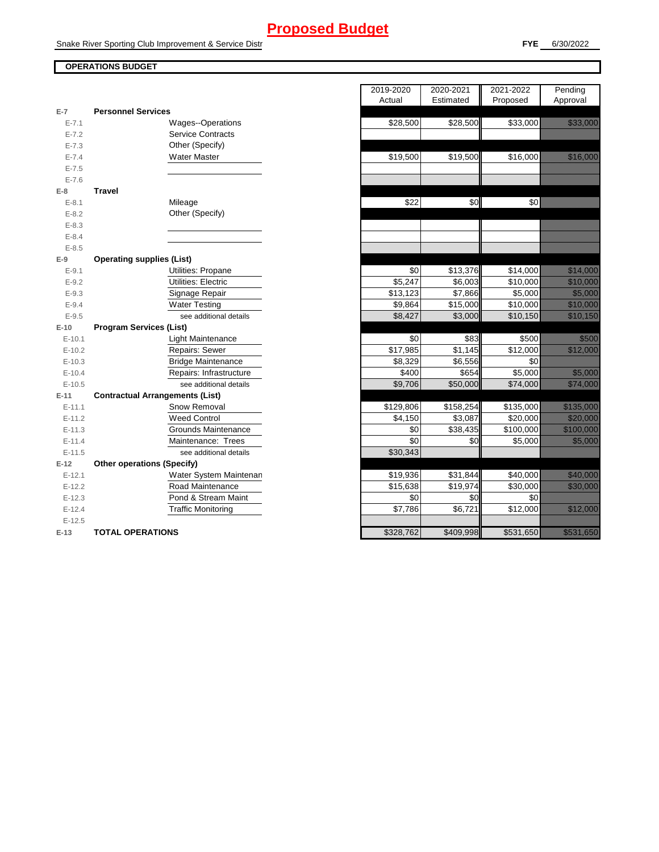Snake River Sporting Club Improvement & Service Distr

#### **OPERATIONS BUDGET**

E-12.5

**E-13 TOTAL OPERATIONS** 

|            |                                        | 2019-2020<br>Actual | 2020-2021<br>Estimated | 2021-2022<br>Proposed |
|------------|----------------------------------------|---------------------|------------------------|-----------------------|
| $E-7$      | <b>Personnel Services</b>              |                     |                        |                       |
| $E - 7.1$  | Wages--Operations                      | \$28,500            | \$28,500               | \$33,000              |
| $E - 7.2$  | <b>Service Contracts</b>               |                     |                        |                       |
| $E - 7.3$  | Other (Specify)                        |                     |                        |                       |
| $E - 7.4$  | <b>Water Master</b>                    | \$19,500            | \$19,500               | \$16,000              |
| $E - 7.5$  |                                        |                     |                        |                       |
| $E - 7.6$  |                                        |                     |                        |                       |
| E-8        | <b>Travel</b>                          |                     |                        |                       |
| $E - 8.1$  | Mileage                                | \$22                | \$0                    | \$0                   |
| $E - 8.2$  | Other (Specify)                        |                     |                        |                       |
| $E - 8.3$  |                                        |                     |                        |                       |
| $E - 8.4$  |                                        |                     |                        |                       |
| $E - 8.5$  |                                        |                     |                        |                       |
| $E-9$      | <b>Operating supplies (List)</b>       |                     |                        |                       |
| $E - 9.1$  | Utilities: Propane                     | \$0                 | \$13,376               | \$14,000              |
| $E - 9.2$  | Utilities: Electric                    | \$5,247             | \$6,003                | \$10,000              |
| $E - 9.3$  | Signage Repair                         | \$13,123            | \$7,866                | \$5,000               |
| $E - 9.4$  | <b>Water Testing</b>                   | \$9,864             | \$15,000               | \$10,000              |
| $E - 9.5$  | see additional details                 | \$8,427             | \$3,000                | \$10,150              |
| $E-10$     | <b>Program Services (List)</b>         |                     |                        |                       |
| $E-10.1$   | Light Maintenance                      | \$0                 | \$83                   | \$500                 |
| $E-10.2$   | Repairs: Sewer                         | \$17,985            | \$1,145                | \$12,000              |
| $E-10.3$   | <b>Bridge Maintenance</b>              | \$8,329             | \$6,556                | \$0                   |
| $E-10.4$   | Repairs: Infrastructure                | \$400               | \$654                  | \$5,000               |
| $E-10.5$   | see additional details                 | \$9,706             | \$50,000               | \$74,000              |
| $E-11$     | <b>Contractual Arrangements (List)</b> |                     |                        |                       |
| $E - 11.1$ | Snow Removal                           | \$129,806           | \$158,254              | \$135,000             |
| $E-11.2$   | <b>Weed Control</b>                    | \$4,150             | \$3,087                | \$20,000              |
| $E-11.3$   | Grounds Maintenance                    | \$0                 | \$38,435               | \$100,000             |
| $E-11.4$   | Maintenance: Trees                     | \$0                 | \$0                    | \$5,000               |
| $E-11.5$   | see additional details                 | \$30,343            |                        |                       |
| $E-12$     | <b>Other operations (Specify)</b>      |                     |                        |                       |
| $E-12.1$   | Water System Maintenan                 | \$19,936            | \$31,844               | \$40,000              |
| $E-12.2$   | Road Maintenance                       | \$15,638            | \$19,974               | \$30,000              |
| $E-12.3$   | Pond & Stream Maint                    | \$0                 | \$0                    | \$0                   |
| $E-12.4$   | <b>Traffic Monitoring</b>              | \$7,786             | \$6,721                | \$12,000              |

|                |                                        | 2019-2020<br>Actual | 2020-2021<br>Estimated | 2021-2022<br>Proposed | Pending<br>Approval                                                                                                  |
|----------------|----------------------------------------|---------------------|------------------------|-----------------------|----------------------------------------------------------------------------------------------------------------------|
| $\overline{7}$ | <b>Personnel Services</b>              |                     |                        |                       |                                                                                                                      |
| $E - 7.1$      | Wages--Operations                      | \$28,500            | \$28,500               | \$33,000              | <u> Martin Sa</u>                                                                                                    |
| $E - 7.2$      | <b>Service Contracts</b>               |                     |                        |                       |                                                                                                                      |
| $E - 7.3$      | Other (Specify)                        |                     |                        |                       |                                                                                                                      |
| $E - 7.4$      | <b>Water Master</b>                    | \$19,500            | \$19,500               | \$16,000              | <u> Hillinger</u>                                                                                                    |
| $E - 7.5$      |                                        |                     |                        |                       |                                                                                                                      |
| $E - 7.6$      |                                        |                     |                        |                       |                                                                                                                      |
| 8              | <b>Travel</b>                          |                     |                        |                       |                                                                                                                      |
| $E - 8.1$      | Mileage                                | \$22                | \$0                    | \$0                   |                                                                                                                      |
| $E - 8.2$      | Other (Specify)                        |                     |                        |                       |                                                                                                                      |
| $E - 8.3$      |                                        |                     |                        |                       |                                                                                                                      |
| $E - 8.4$      |                                        |                     |                        |                       |                                                                                                                      |
| $E - 8.5$      |                                        |                     |                        |                       |                                                                                                                      |
| 9              | <b>Operating supplies (List)</b>       |                     |                        |                       |                                                                                                                      |
| $E-9.1$        | Utilities: Propane                     | \$0                 | \$13,376               | \$14,000              | <u> Karlin Saraja</u>                                                                                                |
| $E - 9.2$      | Utilities: Electric                    | $\overline{$}5,247$ | \$6,003                | \$10,000              | <u> Martin Sara</u>                                                                                                  |
| $E - 9.3$      | Signage Repair                         | \$13,123            | \$7,866                | \$5,000               | <u>till framfördur í hafa er e</u>                                                                                   |
| $E - 9.4$      | <b>Water Testing</b>                   | \$9,864             | \$15,000               | \$10,000              | <u> Martin Sara</u>                                                                                                  |
| $E - 9.5$      | see additional details                 | \$8,427             | \$3,000                | \$10,150              | <u> Karl Sara</u>                                                                                                    |
| 10             | <b>Program Services (List)</b>         |                     |                        |                       |                                                                                                                      |
| $E-10.1$       | Light Maintenance                      | \$0                 | \$83                   | \$500                 | <u>ti ka</u>                                                                                                         |
| $E-10.2$       | Repairs: Sewer                         | \$17,985            | \$1,145                | \$12,000              |                                                                                                                      |
| $E-10.3$       | <b>Bridge Maintenance</b>              | \$8,329             | \$6,556                | \$0                   |                                                                                                                      |
| $E-10.4$       | Repairs: Infrastructure                | \$400               | \$654                  | \$5,000               | <u> Kalendari Se</u>                                                                                                 |
| $E-10.5$       | see additional details                 | \$9,706             | \$50,000               | \$74,000              | <u>till heldstöð</u>                                                                                                 |
| 11             | <b>Contractual Arrangements (List)</b> |                     |                        |                       |                                                                                                                      |
| $E-11.1$       | Snow Removal                           | \$129,806           | \$158,254              | \$135,000             | <u> Elizabeth Carl</u>                                                                                               |
| $E-11.2$       | <b>Weed Control</b>                    | \$4,150             | \$3,087                | \$20,000              |                                                                                                                      |
| $E-11.3$       | Grounds Maintenance                    | \$0                 | \$38,435               | \$100,000             | <u> Martin Sara</u>                                                                                                  |
| $E-11.4$       | Maintenance: Trees                     | \$0                 | \$0                    | \$5,000               | <u>ti ali parti di seriali di seriali di seriali di seriali di seriali di seriali di seriali di seriali di seria</u> |
| $E-11.5$       | see additional details                 | \$30,343            |                        |                       |                                                                                                                      |
| 12             | <b>Other operations (Specify)</b>      |                     |                        |                       |                                                                                                                      |
| $E-12.1$       | Water System Maintenan                 | \$19,936            | \$31,844               | \$40,000              | <u> Hillian Sa</u>                                                                                                   |
| $E-12.2$       | Road Maintenance                       | \$15,638            | \$19,974               | \$30,000              | <u> Kabupatèn Indonesia</u>                                                                                          |
| $E-12.3$       | Pond & Stream Maint                    | \$0                 | \$0                    | \$0                   |                                                                                                                      |
| $E-12.4$       | <b>Traffic Monitoring</b>              | \$7,786             | \$6,721                | \$12,000              |                                                                                                                      |
| $E-12.5$       |                                        |                     |                        |                       |                                                                                                                      |
| $-13$          | <b>TOTAL OPERATIONS</b>                | \$328,762           | \$409,998              | \$531,650             | <u> Kalendaria (h. 1878).</u>                                                                                        |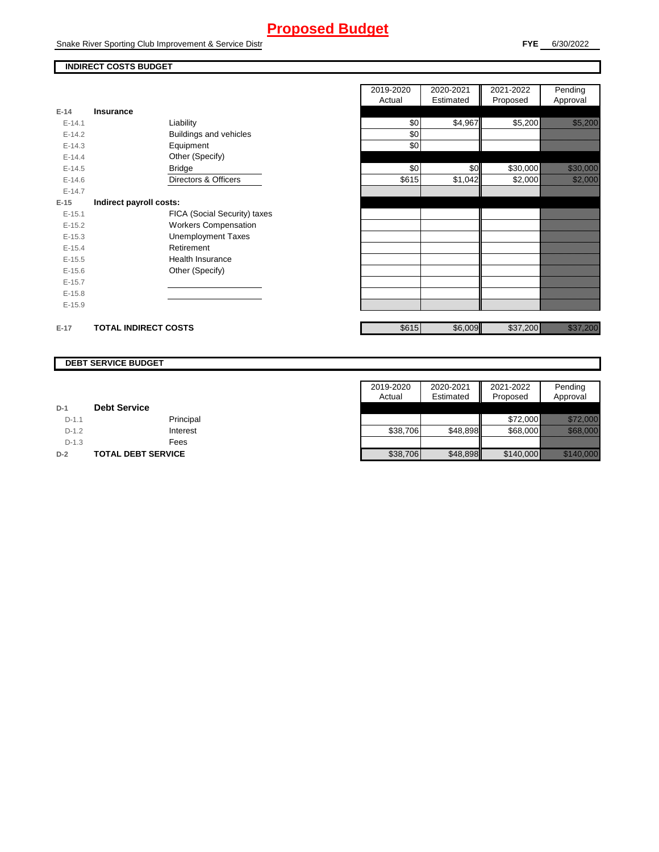Snake River Sporting Club Improvement & Service Distr

#### **FYE** 6/30/2022

### **INDIRECT COSTS BUDGET**

|          |                              | Actual |
|----------|------------------------------|--------|
| $E-14$   | <b>Insurance</b>             |        |
| $E-14.1$ | Liability                    | \$0    |
| $E-14.2$ | Buildings and vehicles       | \$0    |
| $E-14.3$ | Equipment                    | \$0    |
| $E-14.4$ | Other (Specify)              |        |
| $E-14.5$ | <b>Bridge</b>                | \$0    |
| $E-14.6$ | Directors & Officers         | \$615  |
| $E-14.7$ |                              |        |
| $E-15$   | Indirect payroll costs:      |        |
| $E-15.1$ | FICA (Social Security) taxes |        |
| $E-15.2$ | <b>Workers Compensation</b>  |        |
| $E-15.3$ | <b>Unemployment Taxes</b>    |        |
| $E-15.4$ | Retirement                   |        |
| $E-15.5$ | Health Insurance             |        |
| $E-15.6$ | Other (Specify)              |        |
| $E-15.7$ |                              |        |
| $E-15.8$ |                              |        |
| $E-15.9$ |                              |        |
|          |                              |        |
| $E-17$   | <b>TOTAL INDIRECT COSTS</b>  | \$615  |

|          |                              | 2019-2020<br>Actual | 2020-2021<br>Estimated | 2021-2022<br>Proposed | Pending<br>Approval                                                                                                             |
|----------|------------------------------|---------------------|------------------------|-----------------------|---------------------------------------------------------------------------------------------------------------------------------|
| 14       | Insurance                    |                     |                        |                       |                                                                                                                                 |
| $E-14.1$ | Liability                    | \$0                 | \$4,967                | \$5,200               | <u>ting and the second second</u>                                                                                               |
| $E-14.2$ | Buildings and vehicles       | \$0                 |                        |                       |                                                                                                                                 |
| $E-14.3$ | Equipment                    | \$0                 |                        |                       |                                                                                                                                 |
| $E-14.4$ | Other (Specify)              |                     |                        |                       |                                                                                                                                 |
| $E-14.5$ | <b>Bridge</b>                | \$0                 | \$0                    | \$30,000              | <u> Karl Sara</u>                                                                                                               |
| $E-14.6$ | Directors & Officers         | \$615               | \$1,042                | \$2,000               | <u> Hillingan</u>                                                                                                               |
| $E-14.7$ |                              |                     |                        |                       |                                                                                                                                 |
| 15       | Indirect payroll costs:      |                     |                        |                       |                                                                                                                                 |
| $E-15.1$ | FICA (Social Security) taxes |                     |                        |                       |                                                                                                                                 |
| $E-15.2$ | <b>Workers Compensation</b>  |                     |                        |                       |                                                                                                                                 |
| $E-15.3$ | <b>Unemployment Taxes</b>    |                     |                        |                       |                                                                                                                                 |
| $E-15.4$ | Retirement                   |                     |                        |                       |                                                                                                                                 |
| $E-15.5$ | <b>Health Insurance</b>      |                     |                        |                       |                                                                                                                                 |
| $E-15.6$ | Other (Specify)              |                     |                        |                       |                                                                                                                                 |
| $E-15.7$ |                              |                     |                        |                       |                                                                                                                                 |
| $E-15.8$ |                              |                     |                        |                       |                                                                                                                                 |
| $E-15.9$ |                              |                     |                        |                       |                                                                                                                                 |
| 17       | <b>TOTAL INDIRECT COSTS</b>  | \$615               | \$6,009                | \$37,200              | a kalendari kalendari kalendari gazetan dago dago antzera dago dago antzera dago antzera dago antzera dago an<br>Altaren batean |

#### **DEBT SERVICE BUDGET**

|         |                           | 2019-2020 | 2020-2021 | 2021-2022 | Pending                |
|---------|---------------------------|-----------|-----------|-----------|------------------------|
|         |                           | Actual    | Estimated | Proposed  | Approval               |
| $D-1$   | <b>Debt Service</b>       |           |           |           |                        |
| $D-1.1$ | Principal                 |           |           | \$72,000  |                        |
| $D-1.2$ | Interest                  | \$38,706  | \$48,898  | \$68,000  | <u> Here i Star</u>    |
| $D-1.3$ | Fees                      |           |           |           |                        |
| $D-2$   | <b>TOTAL DEBT SERVICE</b> | \$38,706  | \$48,898  | \$140,000 | <u> Elizabeth Carl</u> |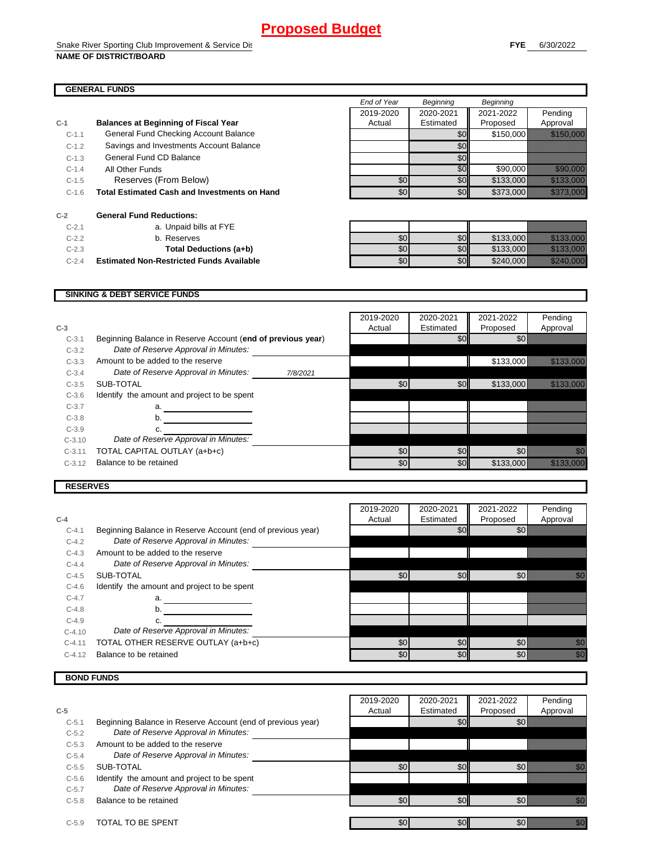#### **GENERAL FUNDS**

|         |                                                     | End of Year | <b>Beginning</b> | <b>Beginning</b> |                      |
|---------|-----------------------------------------------------|-------------|------------------|------------------|----------------------|
|         |                                                     | 2019-2020   | 2020-2021        | 2021-2022        | Pending              |
| $C-1$   | <b>Balances at Beginning of Fiscal Year</b>         | Actual      | Estimated        | Proposed         | Approval             |
| $C-1.1$ | General Fund Checking Account Balance               |             | \$0              | \$150,000        |                      |
| $C-1.2$ | Savings and Investments Account Balance             |             | \$0              |                  |                      |
| $C-1.3$ | General Fund CD Balance                             |             | \$0              |                  |                      |
| $C-1.4$ | All Other Funds                                     |             | \$0              | \$90,000         | 77. STANDON          |
| $C-1.5$ | Reserves (From Below)                               | \$0         | \$0              | \$133,000        |                      |
| $C-1.6$ | <b>Total Estimated Cash and Investments on Hand</b> | \$0         | \$0              | \$373,000        |                      |
| $C-2$   | <b>General Fund Reductions:</b>                     |             |                  |                  |                      |
| $C-2.1$ | a. Unpaid bills at FYE                              |             |                  |                  |                      |
| $C-2.2$ | b. Reserves                                         | \$0         | \$0              | \$133,000        | <u> Hillian Sara</u> |
| $C-2.3$ | Total Deductions (a+b)                              | \$0         | \$0              | \$133,000        | <u> Kalendaria (</u> |
| $C-2.4$ | <b>Estimated Non-Restricted Funds Available</b>     | \$0         | \$0              | \$240,000        |                      |

#### **SINKING & DEBT SERVICE FUNDS**

|          |                                                             |          | 2019-2020 | 2020-2021 | 2021-2022 | Pending                                                                                                              |
|----------|-------------------------------------------------------------|----------|-----------|-----------|-----------|----------------------------------------------------------------------------------------------------------------------|
| $C-3$    |                                                             |          | Actual    | Estimated | Proposed  | Approval                                                                                                             |
| $C-3.1$  | Beginning Balance in Reserve Account (end of previous year) |          |           | \$0       | \$0       |                                                                                                                      |
| $C-3.2$  | Date of Reserve Approval in Minutes:                        |          |           |           |           |                                                                                                                      |
| $C-3.3$  | Amount to be added to the reserve                           |          |           |           | \$133,000 |                                                                                                                      |
| $C-3.4$  | Date of Reserve Approval in Minutes:                        | 7/8/2021 |           |           |           |                                                                                                                      |
| $C-3.5$  | SUB-TOTAL                                                   |          | \$0       | \$0       | \$133,000 | <u> 1999 - 1999 - 1999 - 1999 - 1999 - 1999 - 1999 - 1999 - 1999 - 1999 - 1999 - 1999 - 1999 - 1999 - 1999 - 199</u> |
| $C-3.6$  | Identify the amount and project to be spent                 |          |           |           |           |                                                                                                                      |
| $C-3.7$  | a.                                                          |          |           |           |           |                                                                                                                      |
| $C-3.8$  | b.                                                          |          |           |           |           |                                                                                                                      |
| $C-3.9$  |                                                             |          |           |           |           |                                                                                                                      |
| $C-3.10$ | Date of Reserve Approval in Minutes:                        |          |           |           |           |                                                                                                                      |
| $C-3.11$ | TOTAL CAPITAL OUTLAY (a+b+c)                                |          | \$0       | \$0       | \$0       |                                                                                                                      |
| $C-3.12$ | Balance to be retained                                      |          | \$0       | \$0       | \$133,000 |                                                                                                                      |

#### **RESERVES**

|          |                                                             | 2019-2020 | 2020-2021 | 2021-2022 | Pending                                                                                                                                                                                                                          |
|----------|-------------------------------------------------------------|-----------|-----------|-----------|----------------------------------------------------------------------------------------------------------------------------------------------------------------------------------------------------------------------------------|
| $C-4$    |                                                             | Actual    | Estimated | Proposed  | Approval                                                                                                                                                                                                                         |
| $C-4.1$  | Beginning Balance in Reserve Account (end of previous year) |           | \$0       | \$0       |                                                                                                                                                                                                                                  |
| $C-4.2$  | Date of Reserve Approval in Minutes:                        |           |           |           |                                                                                                                                                                                                                                  |
| $C-4.3$  | Amount to be added to the reserve                           |           |           |           |                                                                                                                                                                                                                                  |
| $C-4.4$  | Date of Reserve Approval in Minutes:                        |           |           |           |                                                                                                                                                                                                                                  |
| $C-4.5$  | SUB-TOTAL                                                   | \$0       | \$0       | \$0       |                                                                                                                                                                                                                                  |
| $C-4.6$  | Identify the amount and project to be spent                 |           |           |           |                                                                                                                                                                                                                                  |
| $C-4.7$  | a.                                                          |           |           |           |                                                                                                                                                                                                                                  |
| $C-4.8$  | b.                                                          |           |           |           |                                                                                                                                                                                                                                  |
| $C-4.9$  |                                                             |           |           |           |                                                                                                                                                                                                                                  |
| $C-4.10$ | Date of Reserve Approval in Minutes:                        |           |           |           |                                                                                                                                                                                                                                  |
| $C-4.11$ | TOTAL OTHER RESERVE OUTLAY (a+b+c)                          | \$0       | \$0       | \$0       |                                                                                                                                                                                                                                  |
| $C-4.12$ | Balance to be retained                                      | \$0       | \$0       | \$0       | en de la familie de la familie de la familie de la familie de la familie de la familie de la familie de la fam<br>Constituit de la familie de la familie de la familie de la familie de la familie de la familie de la familie d |

#### **BOND FUNDS**

|         |                                                             | 2019-2020 | 2020-2021        | 2021-2022 | Pending                                                                                                                                                                                                                         |
|---------|-------------------------------------------------------------|-----------|------------------|-----------|---------------------------------------------------------------------------------------------------------------------------------------------------------------------------------------------------------------------------------|
| $C-5$   |                                                             | Actual    | Estimated        | Proposed  | Approval                                                                                                                                                                                                                        |
| $C-5.1$ | Beginning Balance in Reserve Account (end of previous year) |           | \$0 <sub>1</sub> | \$0       |                                                                                                                                                                                                                                 |
| $C-5.2$ | Date of Reserve Approval in Minutes:                        |           |                  |           |                                                                                                                                                                                                                                 |
| $C-5.3$ | Amount to be added to the reserve                           |           |                  |           |                                                                                                                                                                                                                                 |
| $C-5.4$ | Date of Reserve Approval in Minutes:                        |           |                  |           |                                                                                                                                                                                                                                 |
| $C-5.5$ | SUB-TOTAL                                                   | \$0       | \$0              | \$0       | ni Sa                                                                                                                                                                                                                           |
| $C-5.6$ | Identify the amount and project to be spent                 |           |                  |           |                                                                                                                                                                                                                                 |
| $C-5.7$ | Date of Reserve Approval in Minutes:                        |           |                  |           |                                                                                                                                                                                                                                 |
| $C-5.8$ | Balance to be retained                                      | \$0       | \$0 <sub>l</sub> | \$0       | an dhe                                                                                                                                                                                                                          |
| $C-5.9$ | TOTAL TO BE SPENT                                           | \$0       | \$0              | \$0       | an dhekara dhekara dhekara dhekara dhekara dhekara dhekara dhekara dhekara dhekara dhekara dhekara dhekara dhe<br>Marko dhekara dhekara dhekara dhekara dhekara dhekara dhekara dhekara dhekara dhekara dhekara dhekara dhekara |